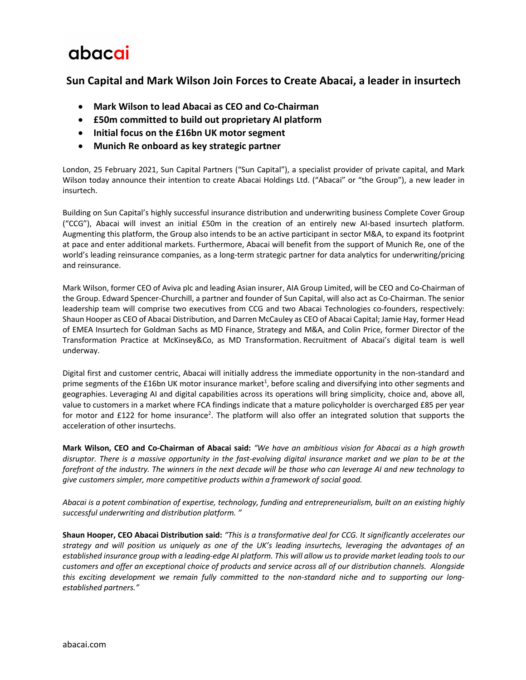## abacai

## **Sun Capital and Mark Wilson Join Forces to Create Abacai, a leader in insurtech**

- **Mark Wilson to lead Abacai as CEO and Co-Chairman**
- **£50m committed to build out proprietary AI platform**
- **Initial focus on the £16bn UK motor segment**
- **Munich Re onboard as key strategic partner**

London, 25 February 2021, Sun Capital Partners ("Sun Capital"), a specialist provider of private capital, and Mark Wilson today announce their intention to create Abacai Holdings Ltd. ("Abacai" or "the Group"), a new leader in insurtech.

Building on Sun Capital's highly successful insurance distribution and underwriting business Complete Cover Group ("CCG"), Abacai will invest an initial £50m in the creation of an entirely new AI-based insurtech platform. Augmenting this platform, the Group also intends to be an active participant in sector M&A, to expand its footprint at pace and enter additional markets. Furthermore, Abacai will benefit from the support of Munich Re, one of the world's leading reinsurance companies, as a long-term strategic partner for data analytics for underwriting/pricing and reinsurance.

Mark Wilson, former CEO of Aviva plc and leading Asian insurer, AIA Group Limited, will be CEO and Co-Chairman of the Group. Edward Spencer-Churchill, a partner and founder of Sun Capital, will also act as Co-Chairman. The senior leadership team will comprise two executives from CCG and two Abacai Technologies co-founders, respectively: Shaun Hooper as CEO of Abacai Distribution, and Darren McCauley as CEO of Abacai Capital; Jamie Hay, former Head of EMEA Insurtech for Goldman Sachs as MD Finance, Strategy and M&A, and Colin Price, former Director of the Transformation Practice at McKinsey&Co, as MD Transformation. Recruitment of Abacai's digital team is well underway.

Digital first and customer centric, Abacai will initially address the immediate opportunity in the non-standard and prime segments of the £16bn UK motor insurance market<sup>1</sup>, before scaling and diversifying into other segments and geographies. Leveraging AI and digital capabilities across its operations will bring simplicity, choice and, above all, value to customers in a market where FCA findings indicate that a mature policyholder is overcharged £85 per year for motor and £122 for home insurance<sup>2</sup>. The platform will also offer an integrated solution that supports the acceleration of other insurtechs.

**Mark Wilson, CEO and Co-Chairman of Abacai said:** *"We have an ambitious vision for Abacai as a high growth disruptor. There is a massive opportunity in the fast-evolving digital insurance market and we plan to be at the forefront of the industry. The winners in the next decade will be those who can leverage AI and new technology to give customers simpler, more competitive products within a framework of social good.*

*Abacai is a potent combination of expertise, technology, funding and entrepreneurialism, built on an existing highly successful underwriting and distribution platform. "*

**Shaun Hooper, CEO Abacai Distribution said:** *"This is a transformative deal for CCG. It significantly accelerates our strategy and will position us uniquely as one of the UK's leading insurtechs, leveraging the advantages of an established insurance group with a leading-edge AI platform. This will allow us to provide market leading tools to our customers and offer an exceptional choice of products and service across all of our distribution channels. Alongside this exciting development we remain fully committed to the non-standard niche and to supporting our longestablished partners."*